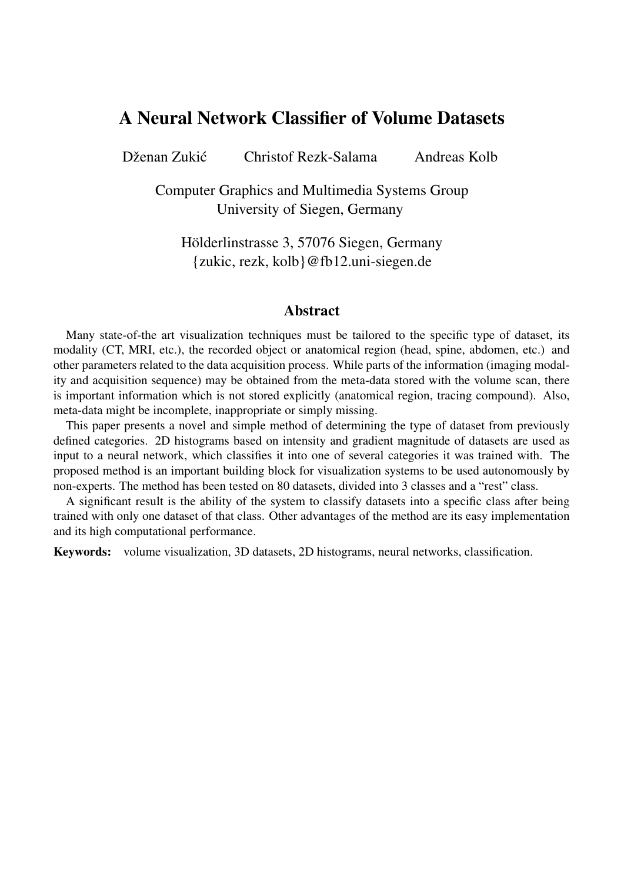# A Neural Network Classifier of Volume Datasets

Dženan Zukić Christof Rezk-Salama Andreas Kolb

Computer Graphics and Multimedia Systems Group University of Siegen, Germany

Hölderlinstrasse 3, 57076 Siegen, Germany {zukic, rezk, kolb}@fb12.uni-siegen.de

#### Abstract

Many state-of-the art visualization techniques must be tailored to the specific type of dataset, its modality (CT, MRI, etc.), the recorded object or anatomical region (head, spine, abdomen, etc.) and other parameters related to the data acquisition process. While parts of the information (imaging modality and acquisition sequence) may be obtained from the meta-data stored with the volume scan, there is important information which is not stored explicitly (anatomical region, tracing compound). Also, meta-data might be incomplete, inappropriate or simply missing.

This paper presents a novel and simple method of determining the type of dataset from previously defined categories. 2D histograms based on intensity and gradient magnitude of datasets are used as input to a neural network, which classifies it into one of several categories it was trained with. The proposed method is an important building block for visualization systems to be used autonomously by non-experts. The method has been tested on 80 datasets, divided into 3 classes and a "rest" class.

A significant result is the ability of the system to classify datasets into a specific class after being trained with only one dataset of that class. Other advantages of the method are its easy implementation and its high computational performance.

Keywords: volume visualization, 3D datasets, 2D histograms, neural networks, classification.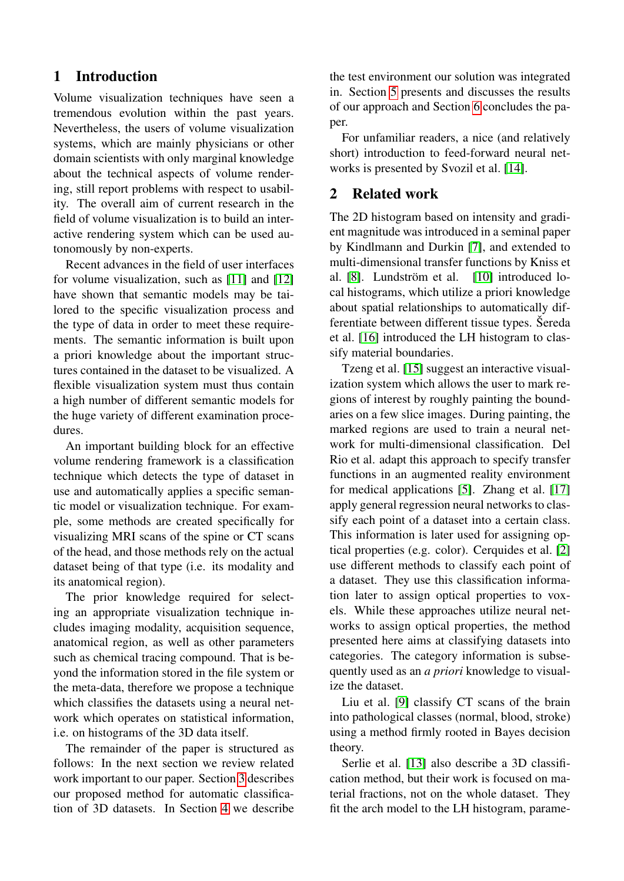## 1 Introduction

Volume visualization techniques have seen a tremendous evolution within the past years. Nevertheless, the users of volume visualization systems, which are mainly physicians or other domain scientists with only marginal knowledge about the technical aspects of volume rendering, still report problems with respect to usability. The overall aim of current research in the field of volume visualization is to build an interactive rendering system which can be used autonomously by non-experts.

Recent advances in the field of user interfaces for volume visualization, such as [\[11\]](#page-9-0) and [\[12\]](#page-9-1) have shown that semantic models may be tailored to the specific visualization process and the type of data in order to meet these requirements. The semantic information is built upon a priori knowledge about the important structures contained in the dataset to be visualized. A flexible visualization system must thus contain a high number of different semantic models for the huge variety of different examination procedures.

An important building block for an effective volume rendering framework is a classification technique which detects the type of dataset in use and automatically applies a specific semantic model or visualization technique. For example, some methods are created specifically for visualizing MRI scans of the spine or CT scans of the head, and those methods rely on the actual dataset being of that type (i.e. its modality and its anatomical region).

The prior knowledge required for selecting an appropriate visualization technique includes imaging modality, acquisition sequence, anatomical region, as well as other parameters such as chemical tracing compound. That is beyond the information stored in the file system or the meta-data, therefore we propose a technique which classifies the datasets using a neural network which operates on statistical information, i.e. on histograms of the 3D data itself.

The remainder of the paper is structured as follows: In the next section we review related work important to our paper. Section [3](#page-2-0) describes our proposed method for automatic classification of 3D datasets. In Section [4](#page-5-0) we describe the test environment our solution was integrated in. Section [5](#page-6-0) presents and discusses the results of our approach and Section [6](#page-8-0) concludes the paper.

For unfamiliar readers, a nice (and relatively short) introduction to feed-forward neural networks is presented by Svozil et al. [\[14\]](#page-9-2).

#### 2 Related work

The 2D histogram based on intensity and gradient magnitude was introduced in a seminal paper by Kindlmann and Durkin [\[7\]](#page-9-3), and extended to multi-dimensional transfer functions by Kniss et al. [\[8\]](#page-9-4). Lundström et al. [\[10\]](#page-9-5) introduced local histograms, which utilize a priori knowledge about spatial relationships to automatically differentiate between different tissue types. Šereda et al. [\[16\]](#page-9-6) introduced the LH histogram to classify material boundaries.

Tzeng et al. [\[15\]](#page-9-7) suggest an interactive visualization system which allows the user to mark regions of interest by roughly painting the boundaries on a few slice images. During painting, the marked regions are used to train a neural network for multi-dimensional classification. Del Rio et al. adapt this approach to specify transfer functions in an augmented reality environment for medical applications [\[5\]](#page-8-1). Zhang et al. [\[17\]](#page-9-8) apply general regression neural networks to classify each point of a dataset into a certain class. This information is later used for assigning optical properties (e.g. color). Cerquides et al. [\[2\]](#page-8-2) use different methods to classify each point of a dataset. They use this classification information later to assign optical properties to voxels. While these approaches utilize neural networks to assign optical properties, the method presented here aims at classifying datasets into categories. The category information is subsequently used as an *a priori* knowledge to visualize the dataset.

Liu et al. [\[9\]](#page-9-9) classify CT scans of the brain into pathological classes (normal, blood, stroke) using a method firmly rooted in Bayes decision theory.

Serlie et al. [\[13\]](#page-9-10) also describe a 3D classification method, but their work is focused on material fractions, not on the whole dataset. They fit the arch model to the LH histogram, parame-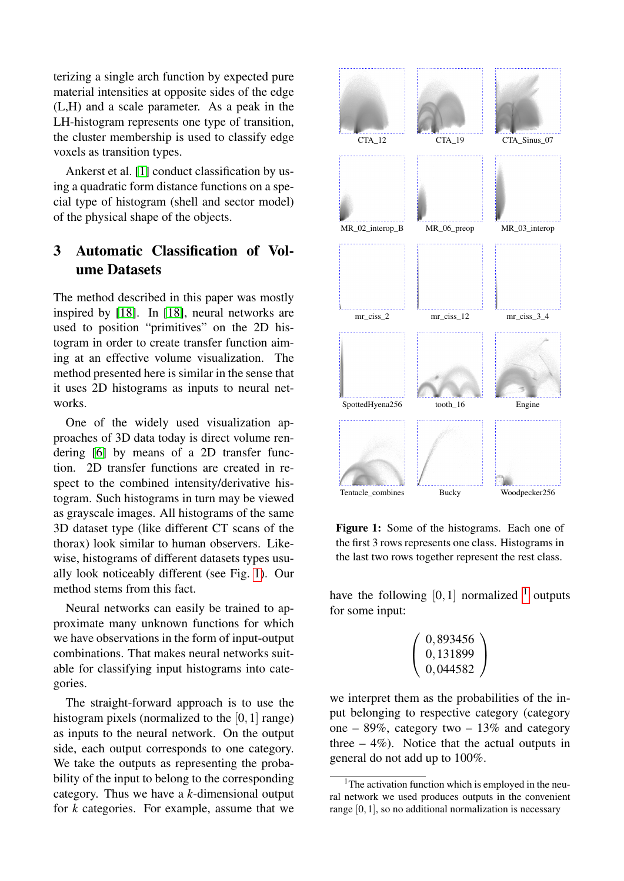terizing a single arch function by expected pure material intensities at opposite sides of the edge (L,H) and a scale parameter. As a peak in the LH-histogram represents one type of transition, the cluster membership is used to classify edge voxels as transition types.

Ankerst et al. [\[1\]](#page-8-3) conduct classification by using a quadratic form distance functions on a special type of histogram (shell and sector model) of the physical shape of the objects.

## <span id="page-2-0"></span>3 Automatic Classification of Volume Datasets

The method described in this paper was mostly inspired by [\[18\]](#page-9-11). In [\[18\]](#page-9-11), neural networks are used to position "primitives" on the 2D histogram in order to create transfer function aiming at an effective volume visualization. The method presented here is similar in the sense that it uses 2D histograms as inputs to neural networks.

One of the widely used visualization approaches of 3D data today is direct volume rendering [\[6\]](#page-8-4) by means of a 2D transfer function. 2D transfer functions are created in respect to the combined intensity/derivative histogram. Such histograms in turn may be viewed as grayscale images. All histograms of the same 3D dataset type (like different CT scans of the thorax) look similar to human observers. Likewise, histograms of different datasets types usually look noticeably different (see Fig. [1\)](#page-2-1). Our method stems from this fact.

Neural networks can easily be trained to approximate many unknown functions for which we have observations in the form of input-output combinations. That makes neural networks suitable for classifying input histograms into categories.

The straight-forward approach is to use the histogram pixels (normalized to the [0,1] range) as inputs to the neural network. On the output side, each output corresponds to one category. We take the outputs as representing the probability of the input to belong to the corresponding category. Thus we have a *k*-dimensional output for *k* categories. For example, assume that we

<span id="page-2-1"></span>

Figure 1: Some of the histograms. Each one of the first 3 rows represents one class. Histograms in the last two rows together represent the rest class.

have the following  $[0,1]$  $[0,1]$  $[0,1]$  normalized <sup>1</sup> outputs for some input:

$$
\left(\begin{array}{c}0,893456\\0,131899\\0,044582\end{array}\right)
$$

we interpret them as the probabilities of the input belonging to respective category (category one – 89%, category two – 13% and category three  $-4\%$ ). Notice that the actual outputs in general do not add up to 100%.

<span id="page-2-2"></span><sup>&</sup>lt;sup>1</sup>The activation function which is employed in the neural network we used produces outputs in the convenient range  $[0,1]$ , so no additional normalization is necessary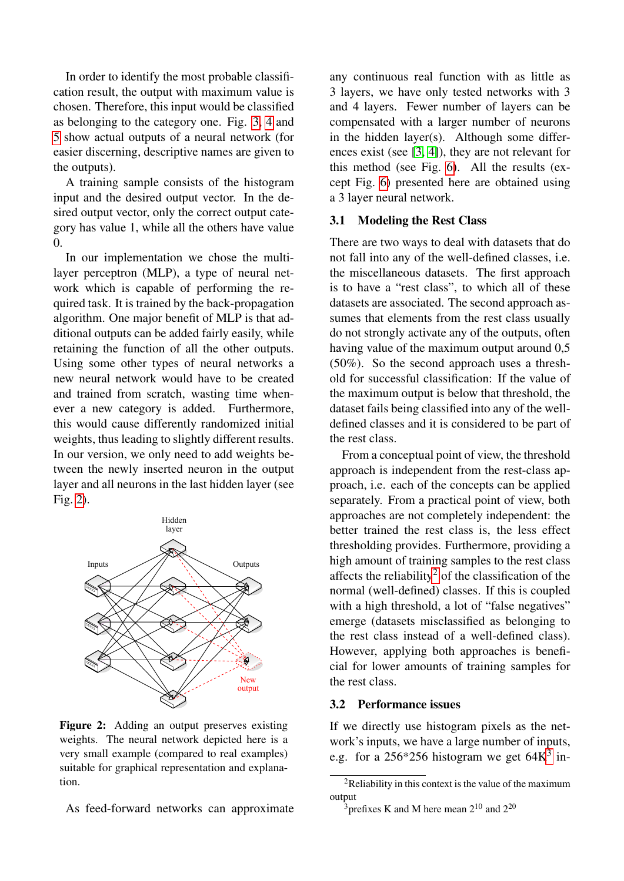In order to identify the most probable classification result, the output with maximum value is chosen. Therefore, this input would be classified as belonging to the category one. Fig. [3,](#page-4-0) [4](#page-4-1) and [5](#page-4-2) show actual outputs of a neural network (for easier discerning, descriptive names are given to the outputs).

A training sample consists of the histogram input and the desired output vector. In the desired output vector, only the correct output category has value 1, while all the others have value  $\Omega$ .

In our implementation we chose the multilayer perceptron (MLP), a type of neural network which is capable of performing the required task. It is trained by the back-propagation algorithm. One major benefit of MLP is that additional outputs can be added fairly easily, while retaining the function of all the other outputs. Using some other types of neural networks a new neural network would have to be created and trained from scratch, wasting time whenever a new category is added. Furthermore, this would cause differently randomized initial weights, thus leading to slightly different results. In our version, we only need to add weights between the newly inserted neuron in the output layer and all neurons in the last hidden layer (see Fig. [2\)](#page-3-0).

<span id="page-3-0"></span>

Figure 2: Adding an output preserves existing weights. The neural network depicted here is a very small example (compared to real examples) suitable for graphical representation and explanation.

As feed-forward networks can approximate

any continuous real function with as little as 3 layers, we have only tested networks with 3 and 4 layers. Fewer number of layers can be compensated with a larger number of neurons in the hidden layer(s). Although some differences exist (see [\[3,](#page-8-5) [4\]](#page-8-6)), they are not relevant for this method (see Fig. [6\)](#page-5-1). All the results (except Fig. [6\)](#page-5-1) presented here are obtained using a 3 layer neural network.

#### 3.1 Modeling the Rest Class

There are two ways to deal with datasets that do not fall into any of the well-defined classes, i.e. the miscellaneous datasets. The first approach is to have a "rest class", to which all of these datasets are associated. The second approach assumes that elements from the rest class usually do not strongly activate any of the outputs, often having value of the maximum output around 0,5 (50%). So the second approach uses a threshold for successful classification: If the value of the maximum output is below that threshold, the dataset fails being classified into any of the welldefined classes and it is considered to be part of the rest class.

From a conceptual point of view, the threshold approach is independent from the rest-class approach, i.e. each of the concepts can be applied separately. From a practical point of view, both approaches are not completely independent: the better trained the rest class is, the less effect thresholding provides. Furthermore, providing a high amount of training samples to the rest class affects the reliability<sup>[2](#page-3-1)</sup> of the classification of the normal (well-defined) classes. If this is coupled with a high threshold, a lot of "false negatives" emerge (datasets misclassified as belonging to the rest class instead of a well-defined class). However, applying both approaches is beneficial for lower amounts of training samples for the rest class.

#### 3.2 Performance issues

If we directly use histogram pixels as the network's inputs, we have a large number of inputs, e.g. for a  $256*256$  histogram we get  $64K^3$  $64K^3$  in-

<span id="page-3-1"></span><sup>&</sup>lt;sup>2</sup>Reliability in this context is the value of the maximum output

<span id="page-3-2"></span><sup>&</sup>lt;sup>3</sup> prefixes K and M here mean  $2^{10}$  and  $2^{20}$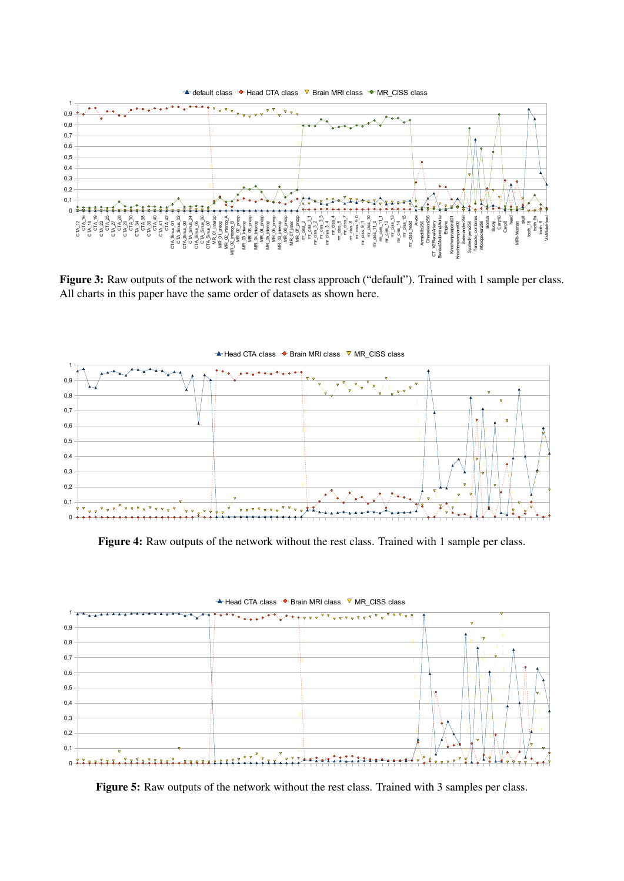<span id="page-4-0"></span>

Figure 3: Raw outputs of the network with the rest class approach ("default"). Trained with 1 sample per class. All charts in this paper have the same order of datasets as shown here.

<span id="page-4-1"></span>

Figure 4: Raw outputs of the network without the rest class. Trained with 1 sample per class.

<span id="page-4-2"></span>

Figure 5: Raw outputs of the network without the rest class. Trained with 3 samples per class.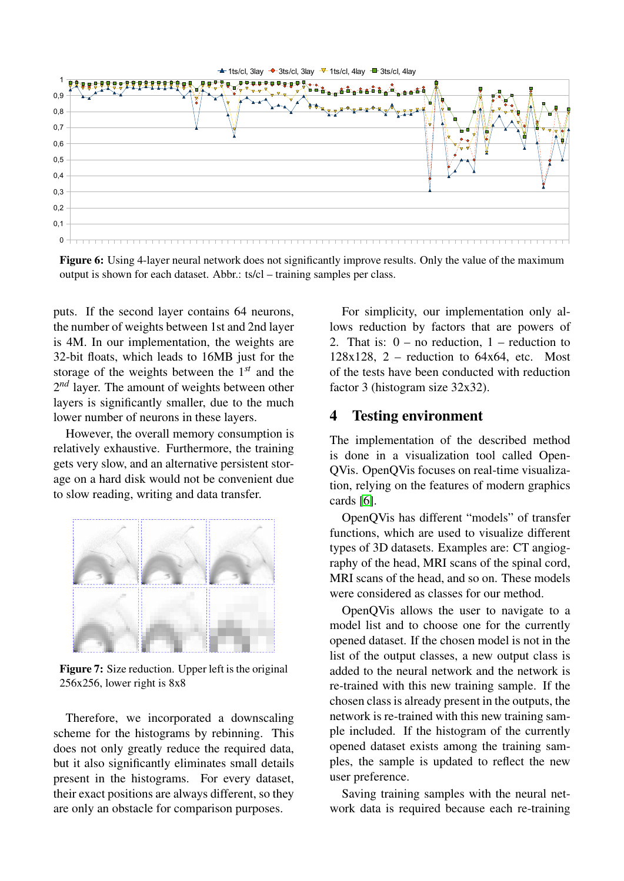<span id="page-5-1"></span>

Figure 6: Using 4-layer neural network does not significantly improve results. Only the value of the maximum output is shown for each dataset. Abbr.: ts/cl – training samples per class.

puts. If the second layer contains 64 neurons, the number of weights between 1st and 2nd layer is 4M. In our implementation, the weights are 32-bit floats, which leads to 16MB just for the storage of the weights between the 1*st* and the 2<sup>nd</sup> layer. The amount of weights between other layers is significantly smaller, due to the much lower number of neurons in these layers.

However, the overall memory consumption is relatively exhaustive. Furthermore, the training gets very slow, and an alternative persistent storage on a hard disk would not be convenient due to slow reading, writing and data transfer.



Figure 7: Size reduction. Upper left is the original 256x256, lower right is 8x8

Therefore, we incorporated a downscaling scheme for the histograms by rebinning. This does not only greatly reduce the required data, but it also significantly eliminates small details present in the histograms. For every dataset, their exact positions are always different, so they are only an obstacle for comparison purposes.

For simplicity, our implementation only allows reduction by factors that are powers of 2. That is:  $0 - no reduction$ ,  $1 - reduction$  to  $128x128$ , 2 – reduction to  $64x64$ , etc. Most of the tests have been conducted with reduction factor 3 (histogram size 32x32).

#### <span id="page-5-0"></span>4 Testing environment

The implementation of the described method is done in a visualization tool called Open-QVis. OpenQVis focuses on real-time visualization, relying on the features of modern graphics cards [\[6\]](#page-8-4).

OpenQVis has different "models" of transfer functions, which are used to visualize different types of 3D datasets. Examples are: CT angiography of the head, MRI scans of the spinal cord, MRI scans of the head, and so on. These models were considered as classes for our method.

OpenQVis allows the user to navigate to a model list and to choose one for the currently opened dataset. If the chosen model is not in the list of the output classes, a new output class is added to the neural network and the network is re-trained with this new training sample. If the chosen class is already present in the outputs, the network is re-trained with this new training sample included. If the histogram of the currently opened dataset exists among the training samples, the sample is updated to reflect the new user preference.

Saving training samples with the neural network data is required because each re-training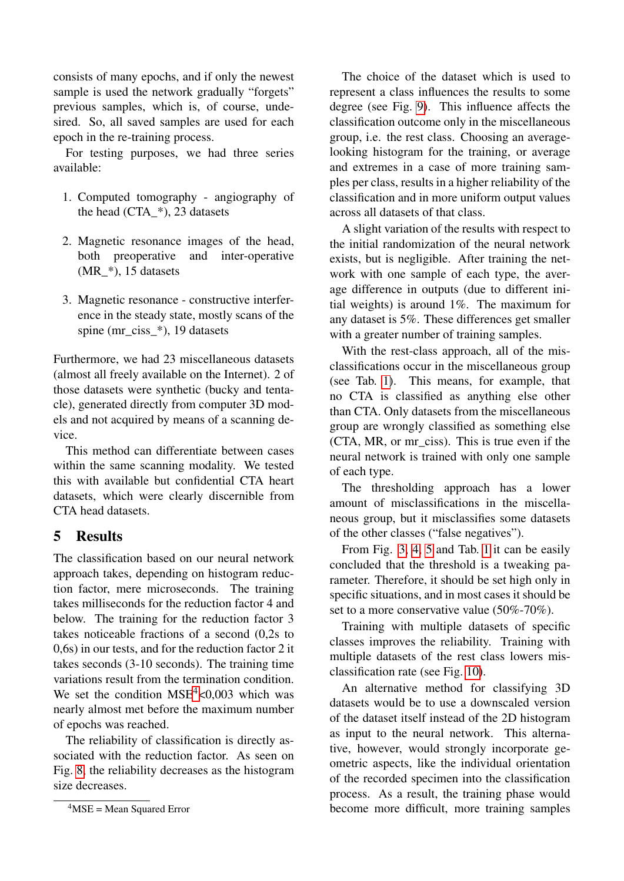consists of many epochs, and if only the newest sample is used the network gradually "forgets" previous samples, which is, of course, undesired. So, all saved samples are used for each epoch in the re-training process.

For testing purposes, we had three series available:

- 1. Computed tomography angiography of the head (CTA\_\*), 23 datasets
- 2. Magnetic resonance images of the head, both preoperative and inter-operative (MR\_\*), 15 datasets
- 3. Magnetic resonance constructive interference in the steady state, mostly scans of the spine (mr\_ciss\_\*), 19 datasets

Furthermore, we had 23 miscellaneous datasets (almost all freely available on the Internet). 2 of those datasets were synthetic (bucky and tentacle), generated directly from computer 3D models and not acquired by means of a scanning device.

This method can differentiate between cases within the same scanning modality. We tested this with available but confidential CTA heart datasets, which were clearly discernible from CTA head datasets.

### <span id="page-6-0"></span>5 Results

The classification based on our neural network approach takes, depending on histogram reduction factor, mere microseconds. The training takes milliseconds for the reduction factor 4 and below. The training for the reduction factor 3 takes noticeable fractions of a second (0,2s to 0,6s) in our tests, and for the reduction factor 2 it takes seconds (3-10 seconds). The training time variations result from the termination condition. We set the condition  $MSE^4<0,003$  $MSE^4<0,003$  $MSE^4<0,003$  which was nearly almost met before the maximum number of epochs was reached.

The reliability of classification is directly associated with the reduction factor. As seen on Fig. [8,](#page-7-0) the reliability decreases as the histogram size decreases.

The choice of the dataset which is used to represent a class influences the results to some degree (see Fig. [9\)](#page-7-1). This influence affects the classification outcome only in the miscellaneous group, i.e. the rest class. Choosing an averagelooking histogram for the training, or average and extremes in a case of more training samples per class, results in a higher reliability of the classification and in more uniform output values across all datasets of that class.

A slight variation of the results with respect to the initial randomization of the neural network exists, but is negligible. After training the network with one sample of each type, the average difference in outputs (due to different initial weights) is around 1%. The maximum for any dataset is 5%. These differences get smaller with a greater number of training samples.

With the rest-class approach, all of the misclassifications occur in the miscellaneous group (see Tab. [1\)](#page-8-7). This means, for example, that no CTA is classified as anything else other than CTA. Only datasets from the miscellaneous group are wrongly classified as something else (CTA, MR, or mr\_ciss). This is true even if the neural network is trained with only one sample of each type.

The thresholding approach has a lower amount of misclassifications in the miscellaneous group, but it misclassifies some datasets of the other classes ("false negatives").

From Fig. [3,](#page-4-0) [4,](#page-4-1) [5](#page-4-2) and Tab. [1](#page-8-7) it can be easily concluded that the threshold is a tweaking parameter. Therefore, it should be set high only in specific situations, and in most cases it should be set to a more conservative value (50%-70%).

Training with multiple datasets of specific classes improves the reliability. Training with multiple datasets of the rest class lowers misclassification rate (see Fig. [10\)](#page-7-2).

An alternative method for classifying 3D datasets would be to use a downscaled version of the dataset itself instead of the 2D histogram as input to the neural network. This alternative, however, would strongly incorporate geometric aspects, like the individual orientation of the recorded specimen into the classification process. As a result, the training phase would become more difficult, more training samples

<span id="page-6-1"></span> $4MSE = Mean$  Squared Error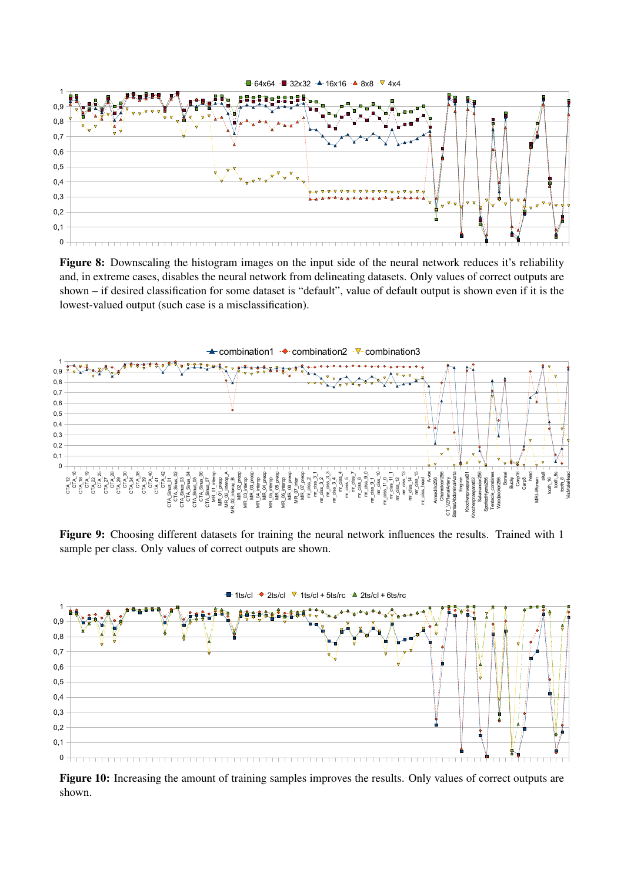<span id="page-7-0"></span>

Figure 8: Downscaling the histogram images on the input side of the neural network reduces it's reliability and, in extreme cases, disables the neural network from delineating datasets. Only values of correct outputs are shown – if desired classification for some dataset is "default", value of default output is shown even if it is the lowest-valued output (such case is a misclassification).

<span id="page-7-1"></span>

Figure 9: Choosing different datasets for training the neural network influences the results. Trained with 1 sample per class. Only values of correct outputs are shown.

<span id="page-7-2"></span>

Figure 10: Increasing the amount of training samples improves the results. Only values of correct outputs are shown.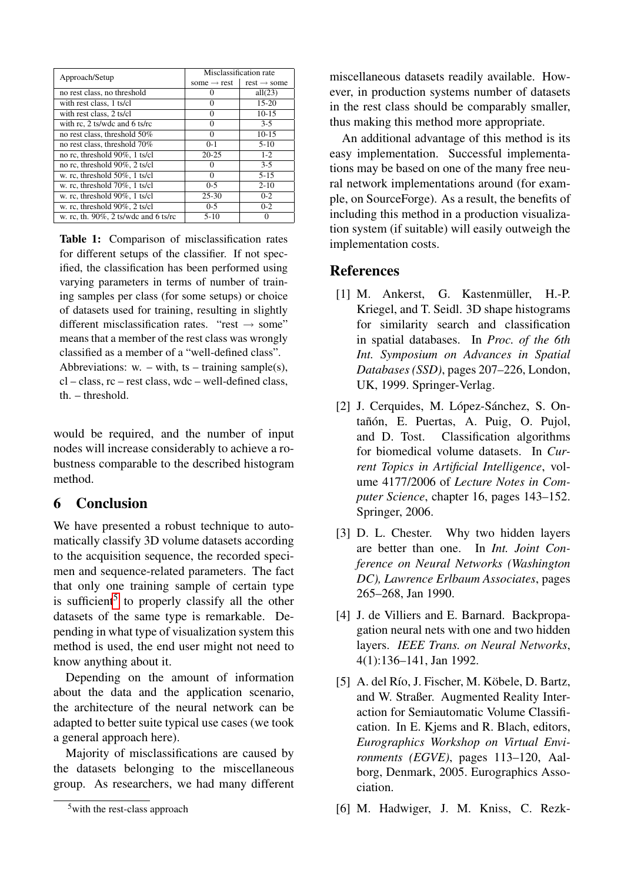<span id="page-8-7"></span>

| Approach/Setup                           | Misclassification rate  |                         |
|------------------------------------------|-------------------------|-------------------------|
|                                          | some $\rightarrow$ rest | rest $\rightarrow$ some |
| no rest class, no threshold              | $\mathbf{\Omega}$       | all(23)                 |
| with rest class, 1 ts/cl                 | $\theta$                | $15 - 20$               |
| with rest class, 2 ts/cl                 | 0                       | $10 - 15$               |
| with rc, 2 ts/wdc and 6 ts/rc            | 0                       | $3-5$                   |
| no rest class, threshold 50%             | 0                       | $10 - 15$               |
| no rest class, threshold 70%             | $0-1$                   | $5-10$                  |
| no rc, threshold 90%, 1 ts/cl            | $20 - 25$               | $1 - 2$                 |
| no rc, threshold 90%, 2 ts/cl            |                         | $3-5$                   |
| w. rc, threshold $50\%$ , 1 ts/cl        | 0                       | $5 - 15$                |
| w. rc. threshold $70\%$ . 1 ts/cl        | $0 - 5$                 | $2 - 10$                |
| w. rc, threshold $90\%$ , 1 ts/cl        | $25 - 30$               | $0 - 2$                 |
| w. rc, threshold $90\%$ , 2 ts/cl        | $0 - 5$                 | $0 - 2$                 |
| w. rc, th. $90\%$ , 2 ts/wdc and 6 ts/rc | $5 - 10$                | $\theta$                |

Table 1: Comparison of misclassification rates for different setups of the classifier. If not specified, the classification has been performed using varying parameters in terms of number of training samples per class (for some setups) or choice of datasets used for training, resulting in slightly different misclassification rates. "rest  $\rightarrow$  some" means that a member of the rest class was wrongly classified as a member of a "well-defined class". Abbreviations:  $w_{-}$  – with, ts – training sample(s), cl – class, rc – rest class, wdc – well-defined class, th. – threshold.

would be required, and the number of input nodes will increase considerably to achieve a robustness comparable to the described histogram method.

### <span id="page-8-0"></span>6 Conclusion

We have presented a robust technique to automatically classify 3D volume datasets according to the acquisition sequence, the recorded specimen and sequence-related parameters. The fact that only one training sample of certain type is sufficient<sup>[5](#page-8-8)</sup> to properly classify all the other datasets of the same type is remarkable. Depending in what type of visualization system this method is used, the end user might not need to know anything about it.

Depending on the amount of information about the data and the application scenario, the architecture of the neural network can be adapted to better suite typical use cases (we took a general approach here).

Majority of misclassifications are caused by the datasets belonging to the miscellaneous group. As researchers, we had many different miscellaneous datasets readily available. However, in production systems number of datasets in the rest class should be comparably smaller, thus making this method more appropriate.

An additional advantage of this method is its easy implementation. Successful implementations may be based on one of the many free neural network implementations around (for example, on SourceForge). As a result, the benefits of including this method in a production visualization system (if suitable) will easily outweigh the implementation costs.

### References

- <span id="page-8-3"></span>[1] M. Ankerst, G. Kastenmüller, H.-P. Kriegel, and T. Seidl. 3D shape histograms for similarity search and classification in spatial databases. In *Proc. of the 6th Int. Symposium on Advances in Spatial Databases (SSD)*, pages 207–226, London, UK, 1999. Springer-Verlag.
- <span id="page-8-2"></span>[2] J. Cerquides, M. López-Sánchez, S. Ontañón, E. Puertas, A. Puig, O. Pujol, and D. Tost. Classification algorithms for biomedical volume datasets. In *Current Topics in Artificial Intelligence*, volume 4177/2006 of *Lecture Notes in Computer Science*, chapter 16, pages 143–152. Springer, 2006.
- <span id="page-8-5"></span>[3] D. L. Chester. Why two hidden layers are better than one. In *Int. Joint Conference on Neural Networks (Washington DC), Lawrence Erlbaum Associates*, pages 265–268, Jan 1990.
- <span id="page-8-6"></span>[4] J. de Villiers and E. Barnard. Backpropagation neural nets with one and two hidden layers. *IEEE Trans. on Neural Networks*, 4(1):136–141, Jan 1992.
- <span id="page-8-1"></span>[5] A. del Río, J. Fischer, M. Köbele, D. Bartz, and W. Straßer. Augmented Reality Interaction for Semiautomatic Volume Classification. In E. Kjems and R. Blach, editors, *Eurographics Workshop on Virtual Environments (EGVE)*, pages 113–120, Aalborg, Denmark, 2005. Eurographics Association.
- <span id="page-8-4"></span>[6] M. Hadwiger, J. M. Kniss, C. Rezk-

<span id="page-8-8"></span><sup>&</sup>lt;sup>5</sup>with the rest-class approach